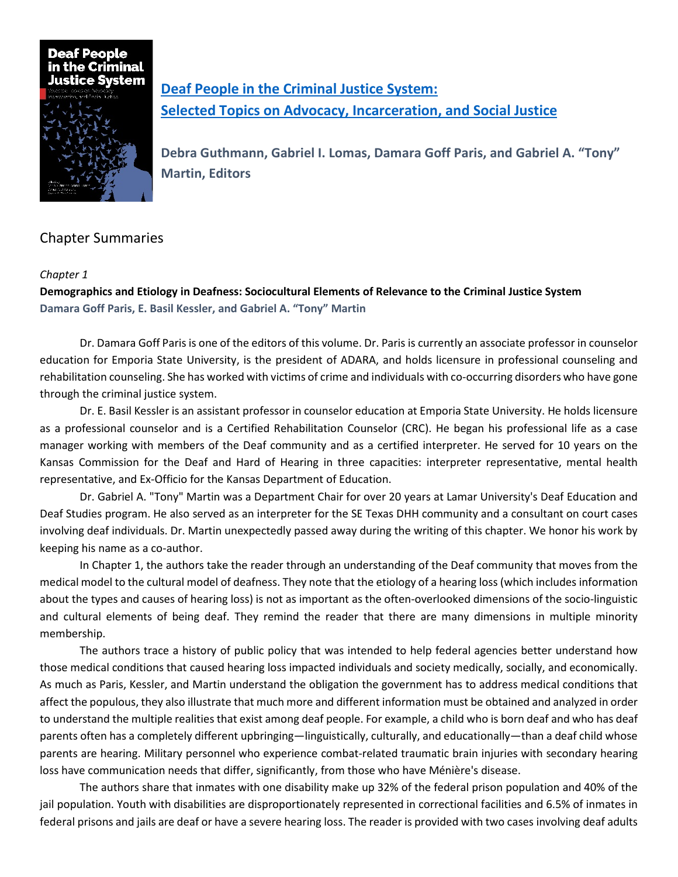

**[Deaf People in the Criminal Justice System:](http://gupress.gallaudet.edu/deaf-people-in-the-criminal-justice-system.html) [Selected Topics on Advocacy, Incarceration, and Social Justice](http://gupress.gallaudet.edu/deaf-people-in-the-criminal-justice-system.html)**

**Debra Guthmann, Gabriel I. Lomas, Damara Goff Paris, and Gabriel A. "Tony" Martin, Editors**

# Chapter Summaries

### *Chapter 1*

**Demographics and Etiology in Deafness: Sociocultural Elements of Relevance to the Criminal Justice System Damara Goff Paris, E. Basil Kessler, and Gabriel A. "Tony" Martin**

Dr. Damara Goff Paris is one of the editors of this volume. Dr. Paris is currently an associate professor in counselor education for Emporia State University, is the president of ADARA, and holds licensure in professional counseling and rehabilitation counseling. She has worked with victims of crime and individuals with co-occurring disorders who have gone through the criminal justice system.

Dr. E. Basil Kessler is an assistant professor in counselor education at Emporia State University. He holds licensure as a professional counselor and is a Certified Rehabilitation Counselor (CRC). He began his professional life as a case manager working with members of the Deaf community and as a certified interpreter. He served for 10 years on the Kansas Commission for the Deaf and Hard of Hearing in three capacities: interpreter representative, mental health representative, and Ex-Officio for the Kansas Department of Education.

Dr. Gabriel A. "Tony" Martin was a Department Chair for over 20 years at Lamar University's Deaf Education and Deaf Studies program. He also served as an interpreter for the SE Texas DHH community and a consultant on court cases involving deaf individuals. Dr. Martin unexpectedly passed away during the writing of this chapter. We honor his work by keeping his name as a co-author.

In Chapter 1, the authors take the reader through an understanding of the Deaf community that moves from the medical model to the cultural model of deafness. They note that the etiology of a hearing loss (which includes information about the types and causes of hearing loss) is not as important as the often-overlooked dimensions of the socio-linguistic and cultural elements of being deaf. They remind the reader that there are many dimensions in multiple minority membership.

The authors trace a history of public policy that was intended to help federal agencies better understand how those medical conditions that caused hearing loss impacted individuals and society medically, socially, and economically. As much as Paris, Kessler, and Martin understand the obligation the government has to address medical conditions that affect the populous, they also illustrate that much more and different information must be obtained and analyzed in order to understand the multiple realities that exist among deaf people. For example, a child who is born deaf and who has deaf parents often has a completely different upbringing—linguistically, culturally, and educationally—than a deaf child whose parents are hearing. Military personnel who experience combat-related traumatic brain injuries with secondary hearing loss have communication needs that differ, significantly, from those who have Ménière's disease.

The authors share that inmates with one disability make up 32% of the federal prison population and 40% of the jail population. Youth with disabilities are disproportionately represented in correctional facilities and 6.5% of inmates in federal prisons and jails are deaf or have a severe hearing loss. The reader is provided with two cases involving deaf adults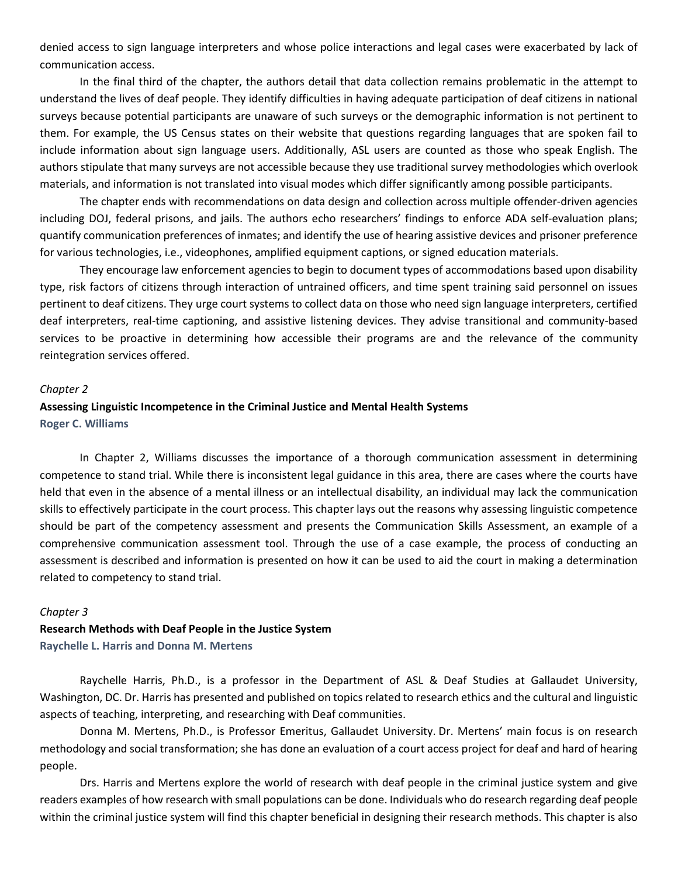denied access to sign language interpreters and whose police interactions and legal cases were exacerbated by lack of communication access.

In the final third of the chapter, the authors detail that data collection remains problematic in the attempt to understand the lives of deaf people. They identify difficulties in having adequate participation of deaf citizens in national surveys because potential participants are unaware of such surveys or the demographic information is not pertinent to them. For example, the US Census states on their website that questions regarding languages that are spoken fail to include information about sign language users. Additionally, ASL users are counted as those who speak English. The authors stipulate that many surveys are not accessible because they use traditional survey methodologies which overlook materials, and information is not translated into visual modes which differ significantly among possible participants.

The chapter ends with recommendations on data design and collection across multiple offender-driven agencies including DOJ, federal prisons, and jails. The authors echo researchers' findings to enforce ADA self-evaluation plans; quantify communication preferences of inmates; and identify the use of hearing assistive devices and prisoner preference for various technologies, i.e., videophones, amplified equipment captions, or signed education materials.

They encourage law enforcement agencies to begin to document types of accommodations based upon disability type, risk factors of citizens through interaction of untrained officers, and time spent training said personnel on issues pertinent to deaf citizens. They urge court systems to collect data on those who need sign language interpreters, certified deaf interpreters, real-time captioning, and assistive listening devices. They advise transitional and community-based services to be proactive in determining how accessible their programs are and the relevance of the community reintegration services offered.

#### *Chapter 2*

### **Assessing Linguistic Incompetence in the Criminal Justice and Mental Health Systems Roger C. Williams**

In Chapter 2, Williams discusses the importance of a thorough communication assessment in determining competence to stand trial. While there is inconsistent legal guidance in this area, there are cases where the courts have held that even in the absence of a mental illness or an intellectual disability, an individual may lack the communication skills to effectively participate in the court process. This chapter lays out the reasons why assessing linguistic competence should be part of the competency assessment and presents the Communication Skills Assessment, an example of a comprehensive communication assessment tool. Through the use of a case example, the process of conducting an assessment is described and information is presented on how it can be used to aid the court in making a determination related to competency to stand trial.

#### *Chapter 3*

### **Research Methods with Deaf People in the Justice System Raychelle L. Harris and Donna M. Mertens**

Raychelle Harris, Ph.D., is a professor in the Department of ASL & Deaf Studies at Gallaudet University, Washington, DC. Dr. Harris has presented and published on topics related to research ethics and the cultural and linguistic aspects of teaching, interpreting, and researching with Deaf communities.

Donna M. Mertens, Ph.D., is Professor Emeritus, Gallaudet University. Dr. Mertens' main focus is on research methodology and social transformation; she has done an evaluation of a court access project for deaf and hard of hearing people.

Drs. Harris and Mertens explore the world of research with deaf people in the criminal justice system and give readers examples of how research with small populations can be done. Individuals who do research regarding deaf people within the criminal justice system will find this chapter beneficial in designing their research methods. This chapter is also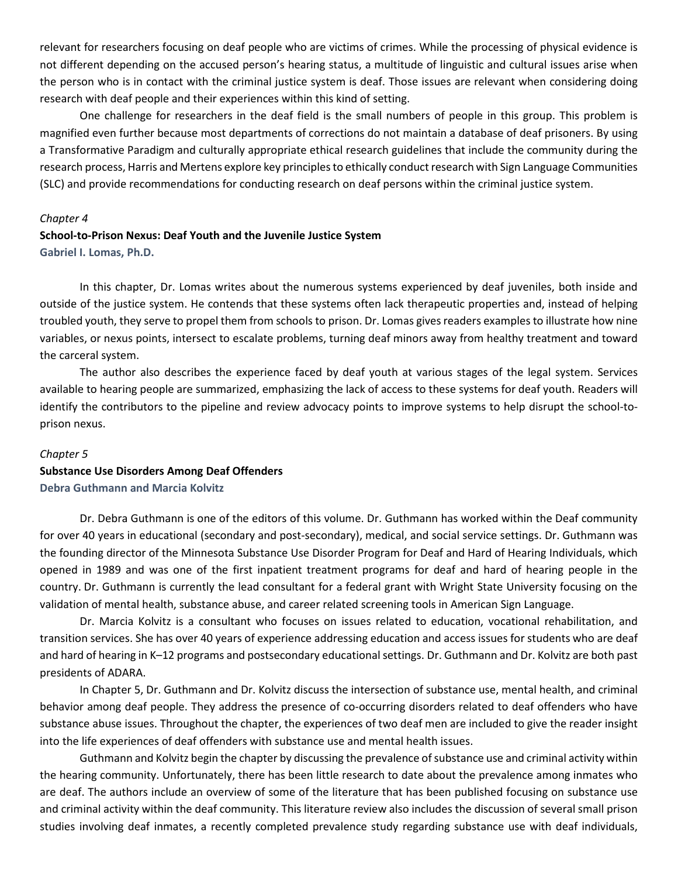relevant for researchers focusing on deaf people who are victims of crimes. While the processing of physical evidence is not different depending on the accused person's hearing status, a multitude of linguistic and cultural issues arise when the person who is in contact with the criminal justice system is deaf. Those issues are relevant when considering doing research with deaf people and their experiences within this kind of setting.

One challenge for researchers in the deaf field is the small numbers of people in this group. This problem is magnified even further because most departments of corrections do not maintain a database of deaf prisoners. By using a Transformative Paradigm and culturally appropriate ethical research guidelines that include the community during the research process, Harris and Mertens explore key principles to ethically conduct research with Sign Language Communities (SLC) and provide recommendations for conducting research on deaf persons within the criminal justice system.

#### *Chapter 4*

### **School-to-Prison Nexus: Deaf Youth and the Juvenile Justice System Gabriel I. Lomas, Ph.D.**

In this chapter, Dr. Lomas writes about the numerous systems experienced by deaf juveniles, both inside and outside of the justice system. He contends that these systems often lack therapeutic properties and, instead of helping troubled youth, they serve to propel them from schools to prison. Dr. Lomas gives readers examples to illustrate how nine variables, or nexus points, intersect to escalate problems, turning deaf minors away from healthy treatment and toward the carceral system.

The author also describes the experience faced by deaf youth at various stages of the legal system. Services available to hearing people are summarized, emphasizing the lack of access to these systems for deaf youth. Readers will identify the contributors to the pipeline and review advocacy points to improve systems to help disrupt the school-toprison nexus.

### *Chapter 5*

### **Substance Use Disorders Among Deaf Offenders Debra Guthmann and Marcia Kolvitz**

Dr. Debra Guthmann is one of the editors of this volume. Dr. Guthmann has worked within the Deaf community for over 40 years in educational (secondary and post-secondary), medical, and social service settings. Dr. Guthmann was the founding director of the Minnesota Substance Use Disorder Program for Deaf and Hard of Hearing Individuals, which opened in 1989 and was one of the first inpatient treatment programs for deaf and hard of hearing people in the country. Dr. Guthmann is currently the lead consultant for a federal grant with Wright State University focusing on the validation of mental health, substance abuse, and career related screening tools in American Sign Language.

Dr. Marcia Kolvitz is a consultant who focuses on issues related to education, vocational rehabilitation, and transition services. She has over 40 years of experience addressing education and access issues for students who are deaf and hard of hearing in K–12 programs and postsecondary educational settings. Dr. Guthmann and Dr. Kolvitz are both past presidents of ADARA.

In Chapter 5, Dr. Guthmann and Dr. Kolvitz discuss the intersection of substance use, mental health, and criminal behavior among deaf people. They address the presence of co-occurring disorders related to deaf offenders who have substance abuse issues. Throughout the chapter, the experiences of two deaf men are included to give the reader insight into the life experiences of deaf offenders with substance use and mental health issues.

Guthmann and Kolvitz begin the chapter by discussing the prevalence of substance use and criminal activity within the hearing community. Unfortunately, there has been little research to date about the prevalence among inmates who are deaf. The authors include an overview of some of the literature that has been published focusing on substance use and criminal activity within the deaf community. This literature review also includes the discussion of several small prison studies involving deaf inmates, a recently completed prevalence study regarding substance use with deaf individuals,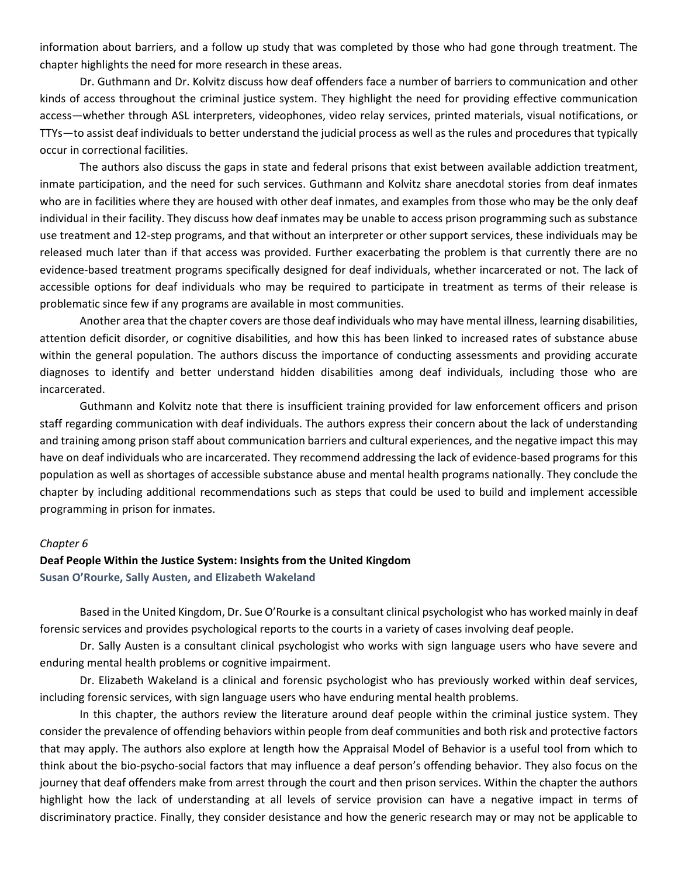information about barriers, and a follow up study that was completed by those who had gone through treatment. The chapter highlights the need for more research in these areas.

Dr. Guthmann and Dr. Kolvitz discuss how deaf offenders face a number of barriers to communication and other kinds of access throughout the criminal justice system. They highlight the need for providing effective communication access—whether through ASL interpreters, videophones, video relay services, printed materials, visual notifications, or TTYs—to assist deaf individuals to better understand the judicial process as well as the rules and procedures that typically occur in correctional facilities.

The authors also discuss the gaps in state and federal prisons that exist between available addiction treatment, inmate participation, and the need for such services. Guthmann and Kolvitz share anecdotal stories from deaf inmates who are in facilities where they are housed with other deaf inmates, and examples from those who may be the only deaf individual in their facility. They discuss how deaf inmates may be unable to access prison programming such as substance use treatment and 12-step programs, and that without an interpreter or other support services, these individuals may be released much later than if that access was provided. Further exacerbating the problem is that currently there are no evidence-based treatment programs specifically designed for deaf individuals, whether incarcerated or not. The lack of accessible options for deaf individuals who may be required to participate in treatment as terms of their release is problematic since few if any programs are available in most communities.

Another area that the chapter covers are those deaf individuals who may have mental illness, learning disabilities, attention deficit disorder, or cognitive disabilities, and how this has been linked to increased rates of substance abuse within the general population. The authors discuss the importance of conducting assessments and providing accurate diagnoses to identify and better understand hidden disabilities among deaf individuals, including those who are incarcerated.

Guthmann and Kolvitz note that there is insufficient training provided for law enforcement officers and prison staff regarding communication with deaf individuals. The authors express their concern about the lack of understanding and training among prison staff about communication barriers and cultural experiences, and the negative impact this may have on deaf individuals who are incarcerated. They recommend addressing the lack of evidence-based programs for this population as well as shortages of accessible substance abuse and mental health programs nationally. They conclude the chapter by including additional recommendations such as steps that could be used to build and implement accessible programming in prison for inmates.

#### *Chapter 6*

### **Deaf People Within the Justice System: Insights from the United Kingdom**

**Susan O'Rourke, Sally Austen, and Elizabeth Wakeland**

Based in the United Kingdom, Dr. Sue O'Rourke is a consultant clinical psychologist who has worked mainly in deaf forensic services and provides psychological reports to the courts in a variety of cases involving deaf people.

Dr. Sally Austen is a consultant clinical psychologist who works with sign language users who have severe and enduring mental health problems or cognitive impairment.

Dr. Elizabeth Wakeland is a clinical and forensic psychologist who has previously worked within deaf services, including forensic services, with sign language users who have enduring mental health problems.

In this chapter, the authors review the literature around deaf people within the criminal justice system. They consider the prevalence of offending behaviors within people from deaf communities and both risk and protective factors that may apply. The authors also explore at length how the Appraisal Model of Behavior is a useful tool from which to think about the bio-psycho-social factors that may influence a deaf person's offending behavior. They also focus on the journey that deaf offenders make from arrest through the court and then prison services. Within the chapter the authors highlight how the lack of understanding at all levels of service provision can have a negative impact in terms of discriminatory practice. Finally, they consider desistance and how the generic research may or may not be applicable to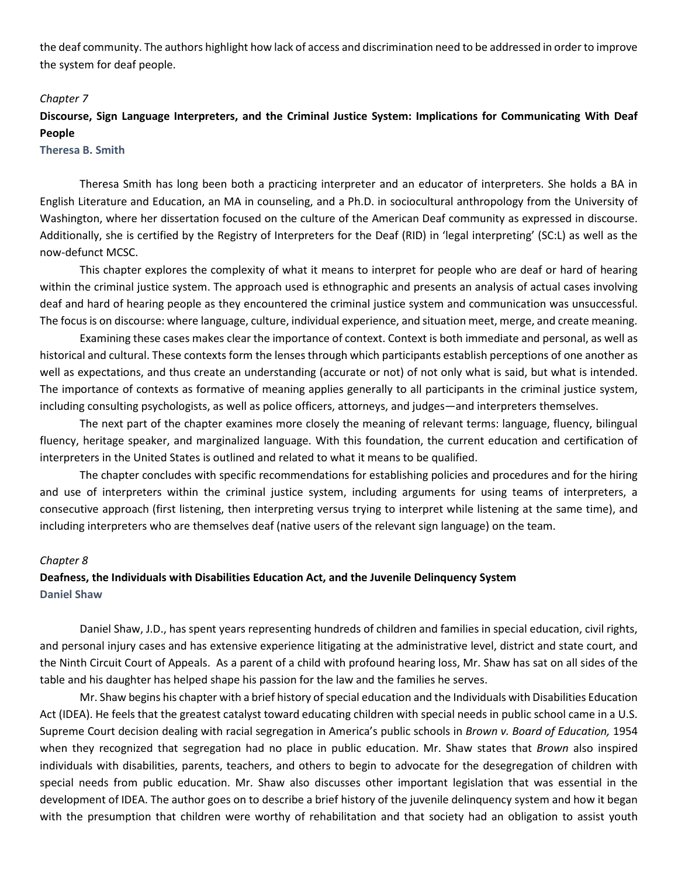the deaf community. The authors highlight how lack of access and discrimination need to be addressed in order to improve the system for deaf people.

### *Chapter 7*

## **Discourse, Sign Language Interpreters, and the Criminal Justice System: Implications for Communicating With Deaf People**

### **Theresa B. Smith**

Theresa Smith has long been both a practicing interpreter and an educator of interpreters. She holds a BA in English Literature and Education, an MA in counseling, and a Ph.D. in sociocultural anthropology from the University of Washington, where her dissertation focused on the culture of the American Deaf community as expressed in discourse. Additionally, she is certified by the Registry of Interpreters for the Deaf (RID) in 'legal interpreting' (SC:L) as well as the now-defunct MCSC.

This chapter explores the complexity of what it means to interpret for people who are deaf or hard of hearing within the criminal justice system. The approach used is ethnographic and presents an analysis of actual cases involving deaf and hard of hearing people as they encountered the criminal justice system and communication was unsuccessful. The focus is on discourse: where language, culture, individual experience, and situation meet, merge, and create meaning.

Examining these cases makes clear the importance of context. Context is both immediate and personal, as well as historical and cultural. These contexts form the lenses through which participants establish perceptions of one another as well as expectations, and thus create an understanding (accurate or not) of not only what is said, but what is intended. The importance of contexts as formative of meaning applies generally to all participants in the criminal justice system, including consulting psychologists, as well as police officers, attorneys, and judges—and interpreters themselves.

The next part of the chapter examines more closely the meaning of relevant terms: language, fluency, bilingual fluency, heritage speaker, and marginalized language. With this foundation, the current education and certification of interpreters in the United States is outlined and related to what it means to be qualified.

The chapter concludes with specific recommendations for establishing policies and procedures and for the hiring and use of interpreters within the criminal justice system, including arguments for using teams of interpreters, a consecutive approach (first listening, then interpreting versus trying to interpret while listening at the same time), and including interpreters who are themselves deaf (native users of the relevant sign language) on the team.

### *Chapter 8*

## **Deafness, the Individuals with Disabilities Education Act, and the Juvenile Delinquency System Daniel Shaw**

Daniel Shaw, J.D., has spent years representing hundreds of children and families in special education, civil rights, and personal injury cases and has extensive experience litigating at the administrative level, district and state court, and the Ninth Circuit Court of Appeals. As a parent of a child with profound hearing loss, Mr. Shaw has sat on all sides of the table and his daughter has helped shape his passion for the law and the families he serves.

Mr. Shaw begins his chapter with a brief history of special education and the Individuals with Disabilities Education Act (IDEA). He feels that the greatest catalyst toward educating children with special needs in public school came in a U.S. Supreme Court decision dealing with racial segregation in America's public schools in *Brown v. Board of Education,* 1954 when they recognized that segregation had no place in public education. Mr. Shaw states that *Brown* also inspired individuals with disabilities, parents, teachers, and others to begin to advocate for the desegregation of children with special needs from public education. Mr. Shaw also discusses other important legislation that was essential in the development of IDEA. The author goes on to describe a brief history of the juvenile delinquency system and how it began with the presumption that children were worthy of rehabilitation and that society had an obligation to assist youth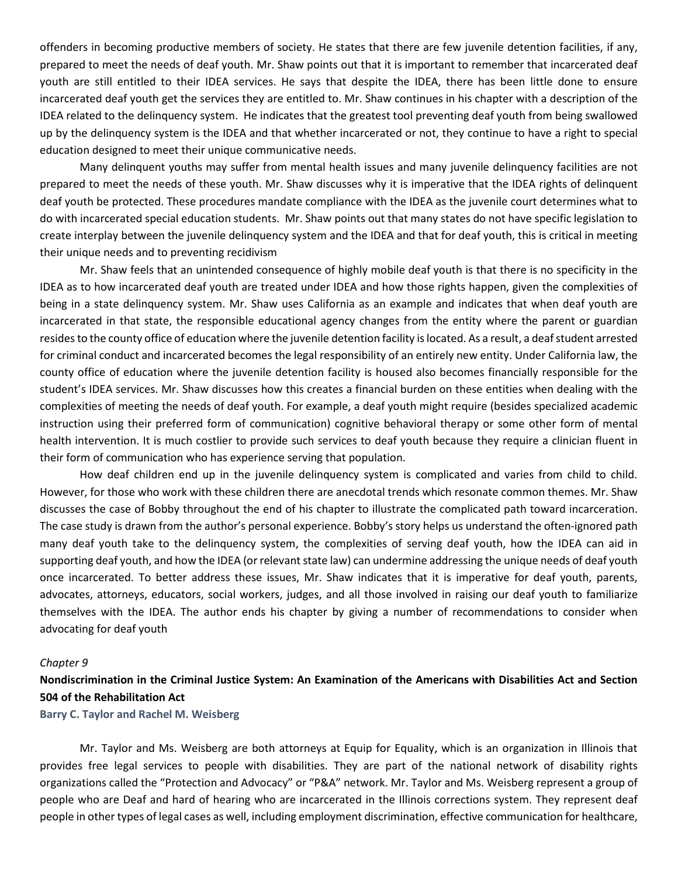offenders in becoming productive members of society. He states that there are few juvenile detention facilities, if any, prepared to meet the needs of deaf youth. Mr. Shaw points out that it is important to remember that incarcerated deaf youth are still entitled to their IDEA services. He says that despite the IDEA, there has been little done to ensure incarcerated deaf youth get the services they are entitled to. Mr. Shaw continues in his chapter with a description of the IDEA related to the delinquency system. He indicates that the greatest tool preventing deaf youth from being swallowed up by the delinquency system is the IDEA and that whether incarcerated or not, they continue to have a right to special education designed to meet their unique communicative needs.

Many delinquent youths may suffer from mental health issues and many juvenile delinquency facilities are not prepared to meet the needs of these youth. Mr. Shaw discusses why it is imperative that the IDEA rights of delinquent deaf youth be protected. These procedures mandate compliance with the IDEA as the juvenile court determines what to do with incarcerated special education students. Mr. Shaw points out that many states do not have specific legislation to create interplay between the juvenile delinquency system and the IDEA and that for deaf youth, this is critical in meeting their unique needs and to preventing recidivism

Mr. Shaw feels that an unintended consequence of highly mobile deaf youth is that there is no specificity in the IDEA as to how incarcerated deaf youth are treated under IDEA and how those rights happen, given the complexities of being in a state delinquency system. Mr. Shaw uses California as an example and indicates that when deaf youth are incarcerated in that state, the responsible educational agency changes from the entity where the parent or guardian resides to the county office of education where the juvenile detention facility is located. As a result, a deaf student arrested for criminal conduct and incarcerated becomes the legal responsibility of an entirely new entity. Under California law, the county office of education where the juvenile detention facility is housed also becomes financially responsible for the student's IDEA services. Mr. Shaw discusses how this creates a financial burden on these entities when dealing with the complexities of meeting the needs of deaf youth. For example, a deaf youth might require (besides specialized academic instruction using their preferred form of communication) cognitive behavioral therapy or some other form of mental health intervention. It is much costlier to provide such services to deaf youth because they require a clinician fluent in their form of communication who has experience serving that population.

How deaf children end up in the juvenile delinquency system is complicated and varies from child to child. However, for those who work with these children there are anecdotal trends which resonate common themes. Mr. Shaw discusses the case of Bobby throughout the end of his chapter to illustrate the complicated path toward incarceration. The case study is drawn from the author's personal experience. Bobby's story helps us understand the often-ignored path many deaf youth take to the delinquency system, the complexities of serving deaf youth, how the IDEA can aid in supporting deaf youth, and how the IDEA (or relevant state law) can undermine addressing the unique needs of deaf youth once incarcerated. To better address these issues, Mr. Shaw indicates that it is imperative for deaf youth, parents, advocates, attorneys, educators, social workers, judges, and all those involved in raising our deaf youth to familiarize themselves with the IDEA. The author ends his chapter by giving a number of recommendations to consider when advocating for deaf youth

#### *Chapter 9*

### **Nondiscrimination in the Criminal Justice System: An Examination of the Americans with Disabilities Act and Section 504 of the Rehabilitation Act**

**Barry C. Taylor and Rachel M. Weisberg** 

Mr. Taylor and Ms. Weisberg are both attorneys at Equip for Equality, which is an organization in Illinois that provides free legal services to people with disabilities. They are part of the national network of disability rights organizations called the "Protection and Advocacy" or "P&A" network. Mr. Taylor and Ms. Weisberg represent a group of people who are Deaf and hard of hearing who are incarcerated in the Illinois corrections system. They represent deaf people in other types of legal cases as well, including employment discrimination, effective communication for healthcare,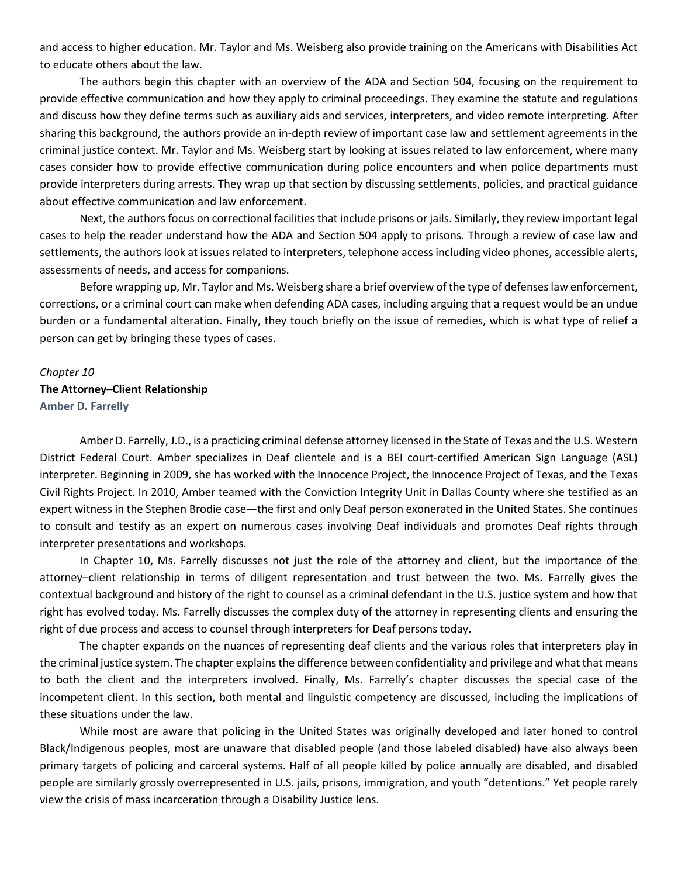and access to higher education. Mr. Taylor and Ms. Weisberg also provide training on the Americans with Disabilities Act to educate others about the law.

The authors begin this chapter with an overview of the ADA and Section 504, focusing on the requirement to provide effective communication and how they apply to criminal proceedings. They examine the statute and regulations and discuss how they define terms such as auxiliary aids and services, interpreters, and video remote interpreting. After sharing this background, the authors provide an in-depth review of important case law and settlement agreements in the criminal justice context. Mr. Taylor and Ms. Weisberg start by looking at issues related to law enforcement, where many cases consider how to provide effective communication during police encounters and when police departments must provide interpreters during arrests. They wrap up that section by discussing settlements, policies, and practical guidance about effective communication and law enforcement.

Next, the authors focus on correctional facilities that include prisons or jails. Similarly, they review important legal cases to help the reader understand how the ADA and Section 504 apply to prisons. Through a review of case law and settlements, the authors look at issues related to interpreters, telephone access including video phones, accessible alerts, assessments of needs, and access for companions.

Before wrapping up, Mr. Taylor and Ms. Weisberg share a brief overview of the type of defenses law enforcement, corrections, or a criminal court can make when defending ADA cases, including arguing that a request would be an undue burden or a fundamental alteration. Finally, they touch briefly on the issue of remedies, which is what type of relief a person can get by bringing these types of cases.

### *Chapter 10*

### **The Attorney–Client Relationship Amber D. Farrelly**

Amber D. Farrelly, J.D., is a practicing criminal defense attorney licensed in the State of Texas and the U.S. Western District Federal Court. Amber specializes in Deaf clientele and is a BEI court-certified American Sign Language (ASL) interpreter. Beginning in 2009, she has worked with the Innocence Project, the Innocence Project of Texas, and the Texas Civil Rights Project. In 2010, Amber teamed with the Conviction Integrity Unit in Dallas County where she testified as an expert witness in the Stephen Brodie case—the first and only Deaf person exonerated in the United States. She continues to consult and testify as an expert on numerous cases involving Deaf individuals and promotes Deaf rights through interpreter presentations and workshops.

In Chapter 10, Ms. Farrelly discusses not just the role of the attorney and client, but the importance of the attorney–client relationship in terms of diligent representation and trust between the two. Ms. Farrelly gives the contextual background and history of the right to counsel as a criminal defendant in the U.S. justice system and how that right has evolved today. Ms. Farrelly discusses the complex duty of the attorney in representing clients and ensuring the right of due process and access to counsel through interpreters for Deaf persons today.

The chapter expands on the nuances of representing deaf clients and the various roles that interpreters play in the criminal justice system. The chapter explains the difference between confidentiality and privilege and what that means to both the client and the interpreters involved. Finally, Ms. Farrelly's chapter discusses the special case of the incompetent client. In this section, both mental and linguistic competency are discussed, including the implications of these situations under the law.

While most are aware that policing in the United States was originally developed and later honed to control Black/Indigenous peoples, most are unaware that disabled people (and those labeled disabled) have also always been primary targets of policing and carceral systems. Half of all people killed by police annually are disabled, and disabled people are similarly grossly overrepresented in U.S. jails, prisons, immigration, and youth "detentions." Yet people rarely view the crisis of mass incarceration through a Disability Justice lens.